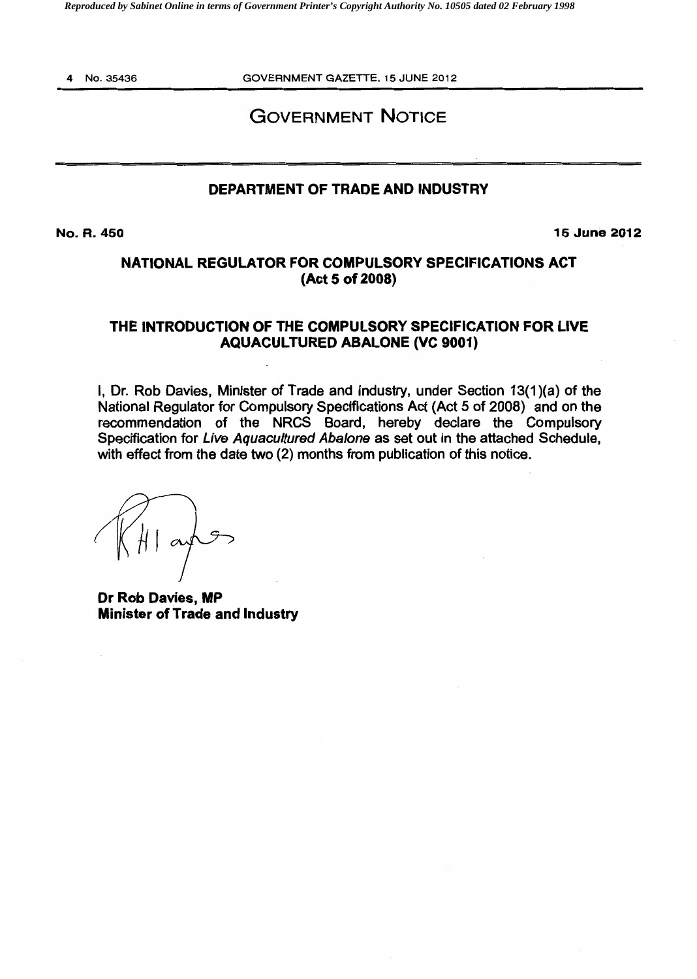*Reproduced by Sabinet Online in terms of Government Printer's Copyright Authority No. 10505 dated 02 February 1998* 

4 No.35436

GOVERNMENT GAZETTE, 15 JUNE 2012

# GOVERNMENT NOTICE

# DEPARTMENT OF TRADE AND INDUSTRY

No.R.450

15 June 2012

# NATIONAL REGULATOR FOR COMPULSORY SPECIFICATIONS ACT (Act 5 of 2008)

# THE INTRODUCTION OF THE COMPULSORY SPECIFICATION FOR LIVE AQUACULTURED ABALONE (VC 9001)

I, Dr. Rob Davies, Minister of Trade and Industry, under Section 13(1)(a) of the National Regulator for Compulsory Specifications Act (Act 5 of 2008) and on the recommendation of the NRCS Board, hereby declare the Compulsory Specification for Live Aquacultured Abalone as set out in the attached Schedule, with effect from the date two (2) months from publication of this notice.

Dr Rob Davies, MP Minister of Trade and Industry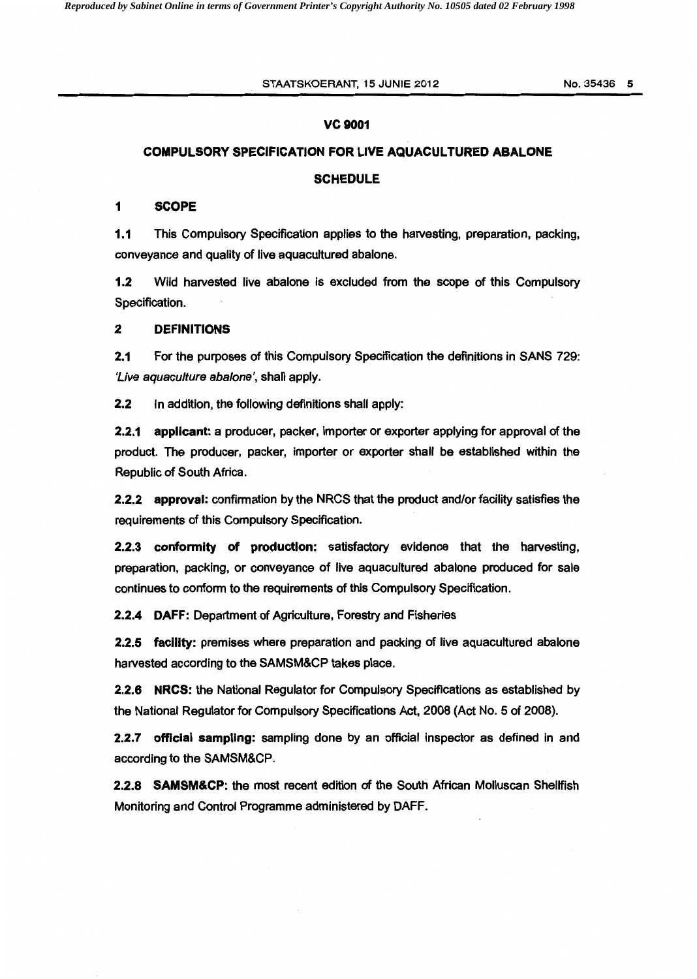#### vc 9001

### COMPULSORY SPECIFICATION FOR LIVE AQUACULTURED ABALONE

#### **SCHEDULE**

#### 1 SCOPE

1.1 This Compulsory Specification applies to the harvesting, preparation, packing, conveyance and quality of live aquacultured abalone.

1.2 Wild harvested live abalone is excluded from the scope of this Compulsory Specification.

#### 2 DEFINITIONS

2.1 For the purposes of this Compulsory Specification the definitions in SANS 729: 'Live aquaculture abalone', shall apply.

2.2 In addition, the following definitions shall apply:

2.2.1 applicant: a producer, packer, importer or exporter applying for approval of the product. The producer, packer, importer or exporter shall be established within the Republic of South Africa.

2.2.2 approval: confirmation by the NRCS that the product and/or facility satisfies the requirements of this Compulsory Specification.

2.2.3 conformity of production: satisfactory evidence that the harvesting, preparation, packing, or conveyance of live aquacultured abalone produced for sale continues to conform to the requirements of this Compulsory Specification.

2.2.4 DAFF: Department of Agriculture, Forestry and Fisheries

2.2.5 facility: premises where preparation and packing of live aquacultured abalone harvested according to the SAMSM&CP takes place.

2.2.6 NRCS: the National Regulator for Compulsory Specifications as established by the National Regulator for Compulsory Specifications Act, 2008 (Act No. 5 of 2008).

2.2.7 official sampling: sampling done by an official inspector as defined in and according to the SAMSM&CP.

2.2.8 SAMSM&CP: the most recent edition of the South African Molluscan Shellfish Monitoring and Control Programme administered by DAFF.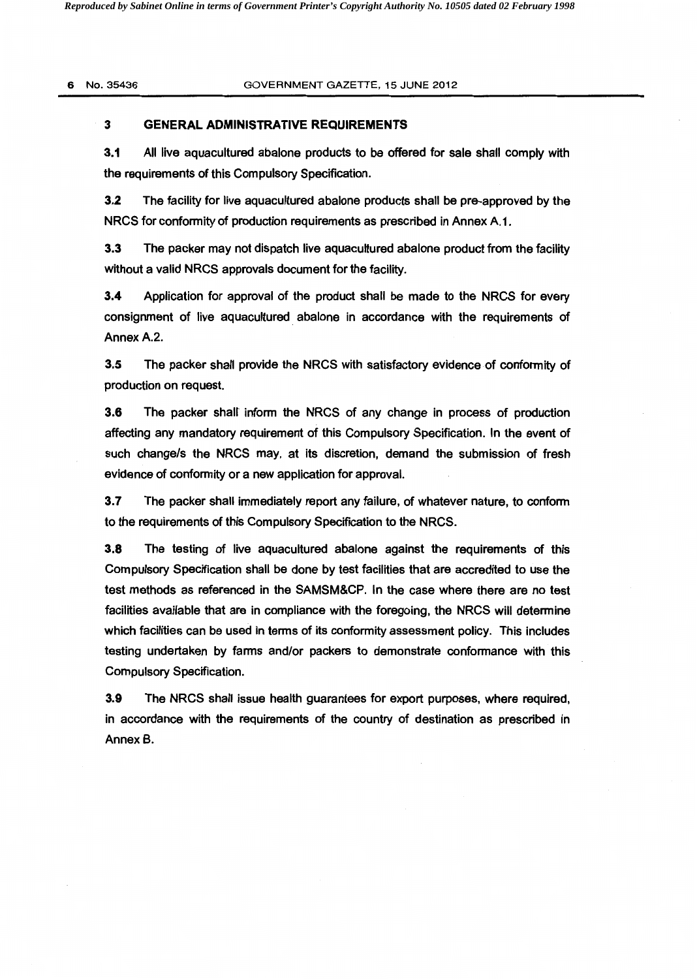### **3 GENERAL ADMINISTRATIVE REQUIREMENTS**

**3.1** All live aquacultured abalone products to be offered for sale shall comply with the requirements of this Compulsory Specification.

**3.2** The facility for live aquacultured abalone products shall be pre-approved by the NRCS for conformity of production requirements as prescribed in Annex A.1.

3.3 The packer may not dispatch live aquacultured abalone product from the facility without a valid NRCS approvals document for the facility.

**3.4** Application for approval of the product shall be made to the NRCS for every consignment of live aquacultured abalone in accordance with the requirements of Annex A.2.

**3.5** The packer shall provide the NRCS with satisfactory evidence of conformity of production on request.

**3.6** The packer shalr inform the NRCS of any change in process of production affecting any mandatory requirement of this Compulsory Specification. In the event of such change/s the NRCS may, at its discretion, demand the submission of fresh evidence of conformity or a new application for approval.

**3.7** The packer shall immediately report any failure, of whatever nature, to conform to the requirements of this Compulsory Specification to the NRCS.

**3.8** The testing of live aquacultured abalone against the requirements of this Compulsory Specification shall be done by test facilities that are accredited to use the test methods as referenced in the SAMSM&CP. In the case where there are no test facilities available that are in compliance with the foregoing, the NRCS will determine which facilities can be used in terms of its conformity assessment policy. This includes testing undertaken by farms and/or packers to demonstrate conformance with this Compulsory Specification.

**3.9** The NRCS shall issue health guarantees for export purposes, where required, in accordance with the requirements of the country of destination as prescribed in Annex B.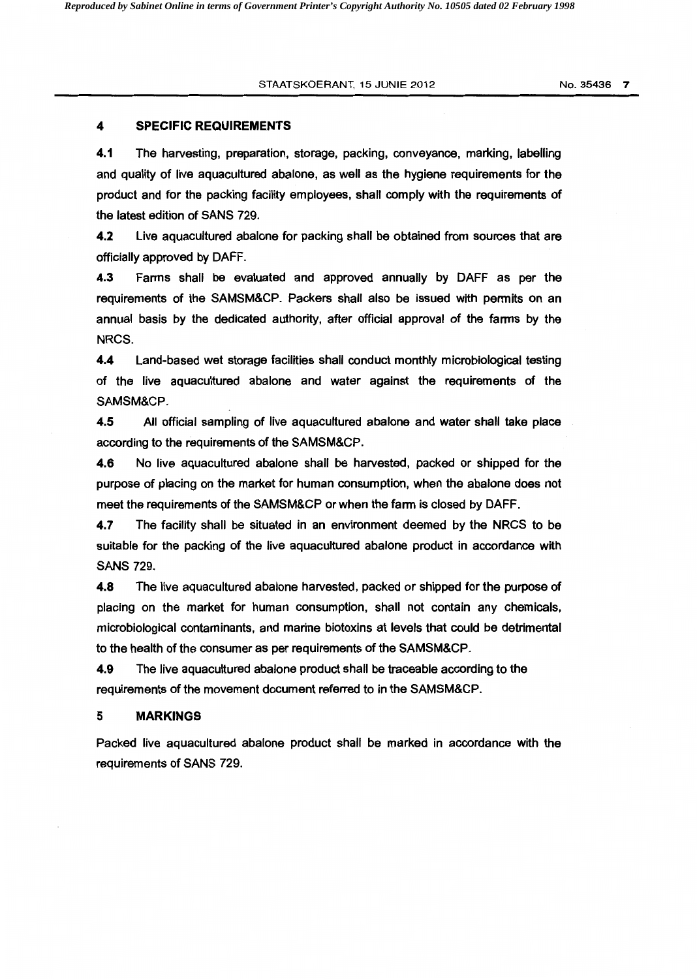#### 4 SPECIFIC REQUIREMENTS

4.1 The harvesting, preparation, storage, packing, conveyance, marking, labelling and quality of live aquacultured abalone, as well as the hygiene requirements for the product and for the packing facility employees, shall comply with the requirements of the latest edition of SANS 729.

4.2 Live aquacultured abalone for packing shall be obtained from sources that are officially approved by DAFF.

4.3 Farms shall be evaluated and approved annually by DAFF as per the requirements of the SAMSM&CP. Packers shall also be issued with permits on an annual basis by the dedicated authority, after official approval of the farms by the NRCS.

4.4 Land-based wet storage facilities shall conduct monthly microbiological testing of the live aquacultured abalone and water against the requirements of the SAMSM&CP.

4.5 All official sampling of live aquacultured abalone and water shall take place according to the requirements of the SAMSM&CP.

4.6 No live aquacultured abalone shall be harvested, packed or shipped for the purpose of placing on the market for human consumption, when the abalone does not meet the requirements of the SAMSM&CP or when the farm is closed by DAFF.

4.7 The facility shall be situated in an environment deemed by the NRCS to be suitable for the packing of the live aquacultured abalone product in accordance with SANS 729.

4.8 The live aquacultured abalone harvested, packed or shipped for the purpose of placing on the market for human consumption, shall not contain any chemicals, microbiological contaminants, and marine biotoxins at levels that could be detrimental to the health of the consumer as per requirements of the SAMSM&CP.

4.9 The live aquacultured abalone product shall be traceable according to the requirements of the movement document referred to in the SAMSM&CP.

#### 5 MARKINGS

Packed live aquacultured abalone product shall be marked in accordance with the requirements of SANS 729.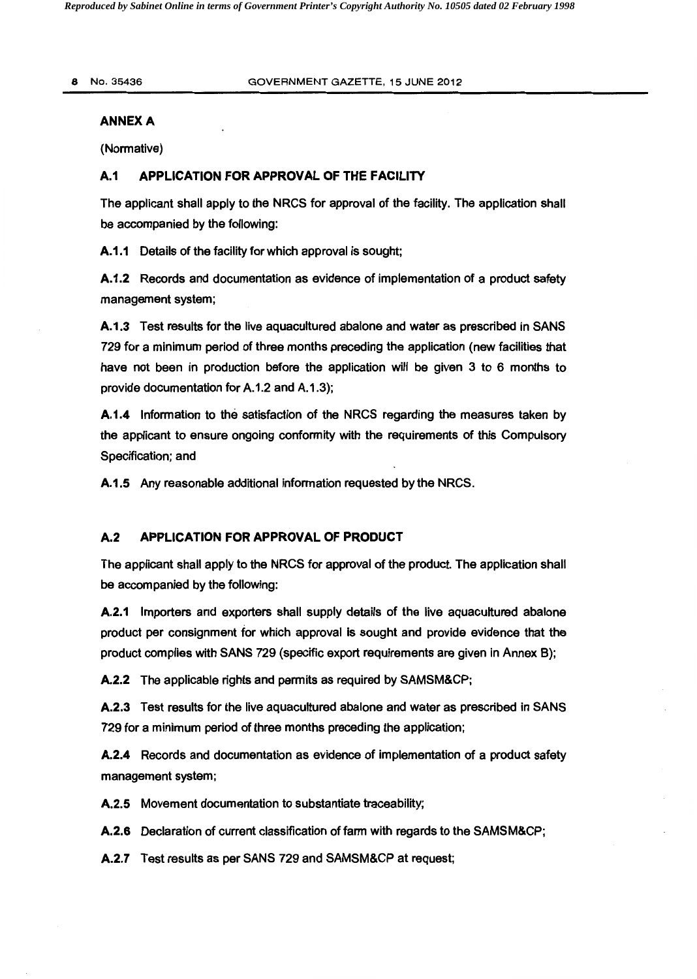#### **ANNEXA**

(Normative)

#### **A.1 APPLICATION FOR APPROVAL OF THE FACILITY**

The applicant shall apply to the NRCS for approval of the facility. The application shall be accompanied by the following:

**A.1.1** Details of the facility for which approval is sought;

**A.1.2** Records and documentation as evidence of implementation of a product safety management system;

**A.1.3** Test results for the live aquacultured abalone and water as prescribed in SANS 729 for a minimum period of three months preceding the application (new facilities that have not been in production before the application will be given 3 to 6 months to provide documentation for A.1.2 and A.1.3);

**A.1.4** Information to the satisfaction of the NRCS regarding the measures taken by the applicant to ensure ongoing conformity with the requirements of this Compulsory Specification; and

**A.1.5** Any reasonable additional information requested by the NRCS.

## **A.2 APPLICATION FOR APPROVAL OF PRODUCT**

The applicant shall apply to the NRCS for approval of the product. The application shall be accompanied by the following:

**A.2.1** Importers and exporters shall supply details of the live aquacultured abalone product per consignment for which approval is sought and provide evidence that the product complies with SANS 729 (specific export requirements are given in Annex B);

**A.2.2** The applicable rights and permits as required by SAMSM&CP;

**A.2.3** Test results for the live aquacultured abalone and water as prescribed in SANS 729 for a minimum period of three months preceding the application;

**A.2.4** Records and documentation as evidence of implementation of a product safety management system;

**A.2.5** Movement documentation to substantiate traceability;

**A.2.6** Declaration of current classification of farm with regards to the SAMSM&CP;

**A.2.7** Test results as per SANS 729 and SAMSM&CP at request;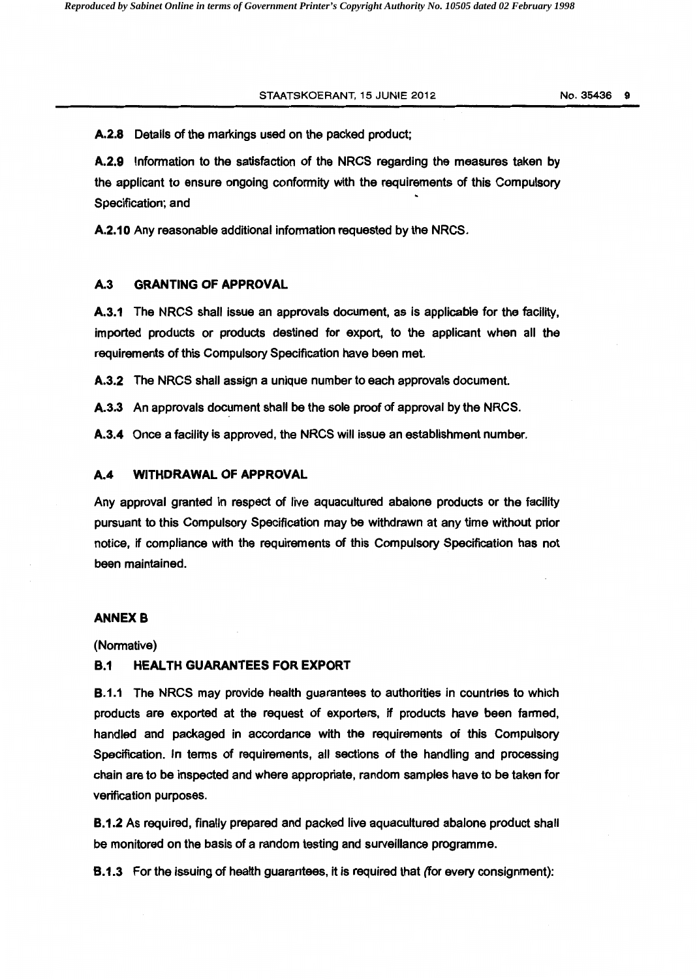#### STAATSKOERANT, 15 JUNIE 2012

No.35436 9

A.2.8 Details of the markings used on the packed product:

A.2.9 Information to the satisfaction of the NRCS regarding the measures taken by the applicant to ensure ongoing conformity with the requirements of this Compulsory Specification; and

A.2.10 Any reasonable additional information requested by the NRCS.

#### A.3 GRANTING OF APPROVAL

A.3.1 The NRCS shall issue an approvals document, as is applicable for the facility, imported products or products destined for export, to the applicant when all the requirements of this Compulsory Specification have been met.

A.3.2 The NRCS shall assign a unique number to each approvals document.

A.3.3 An approvals document shall be the sole proof of approval by the NRCS.

A.3.4 Once a facility is approved, the NRCS will issue an establishment number.

#### A.4 WITHDRAWAL OF APPROVAL

Any approval granted in respect of live aquacultured abalone products or the facility pursuant to this Compulsory Specification may be withdrawn at any time without prior notice, if compliance with the requirements of this Compulsory Specification has not been maintained.

#### **ANNEX B**

(Normative)

#### 8.1 HEALTH GUARANTEES FOR EXPORT

**B.1.1** The NRCS may provide health guarantees to authorities in countries to which products are exported at the request of exporters, if products have been farmed, handled and packaged in accordance with the requirements of this Compulsory Specification. In terms of requirements, all sections of the handling and processing chain are to be inspected and where appropriate, random samples have to be taken for verification purposes.

8.1.2 As required, finally prepared and packed live aquacultured abalone product shall be monitored on the basis of a random testing and surveillance programme.

8.1.3 For the issuing of health guarantees, it is required that (for every consignment):